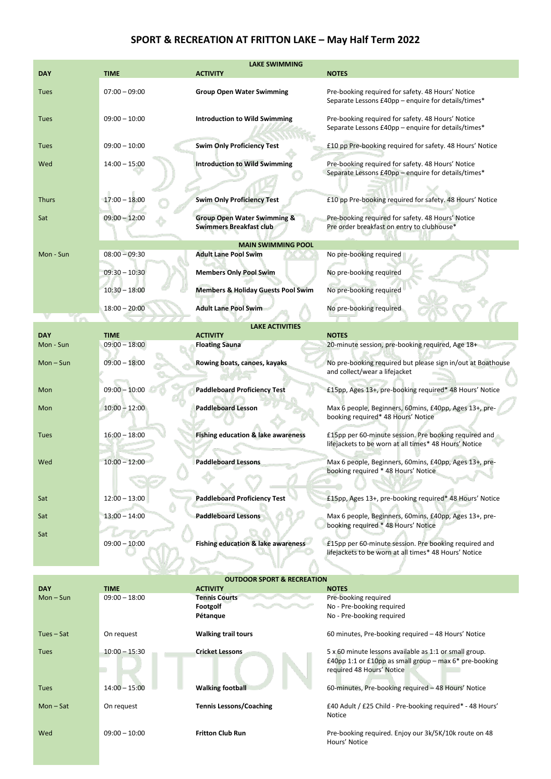## **SPORT & RECREATION AT FRITTON LAKE – May Half Term 2022**

| <b>LAKE SWIMMING</b> |                 |                                                                          |                                                                                                                                                 |  |
|----------------------|-----------------|--------------------------------------------------------------------------|-------------------------------------------------------------------------------------------------------------------------------------------------|--|
| <b>DAY</b>           | <b>TIME</b>     | <b>ACTIVITY</b>                                                          | <b>NOTES</b>                                                                                                                                    |  |
| <b>Tues</b>          | $07:00 - 09:00$ | <b>Group Open Water Swimming</b>                                         | Pre-booking required for safety. 48 Hours' Notice<br>Separate Lessons £40pp - enquire for details/times*                                        |  |
| Tues                 | $09:00 - 10:00$ | <b>Introduction to Wild Swimming</b>                                     | Pre-booking required for safety. 48 Hours' Notice<br>Separate Lessons £40pp – enquire for details/times*                                        |  |
| Tues                 | $09:00 - 10:00$ | <b>Swim Only Proficiency Test</b>                                        | £10 pp Pre-booking required for safety. 48 Hours' Notice                                                                                        |  |
| Wed                  | $14:00 - 15:00$ | <b>Introduction to Wild Swimming</b>                                     | Pre-booking required for safety. 48 Hours' Notice<br>Separate Lessons £40pp - enquire for details/times*                                        |  |
| <b>Thurs</b>         | $17:00 - 18:00$ | <b>Swim Only Proficiency Test</b>                                        | £10 pp Pre-booking required for safety. 48 Hours' Notice                                                                                        |  |
| Sat                  | $09:00 - 12:00$ | <b>Group Open Water Swimming &amp;</b><br><b>Swimmers Breakfast club</b> | Pre-booking required for safety. 48 Hours' Notice<br>Pre order breakfast on entry to clubhouse*                                                 |  |
| Mon - Sun            | $08:00 - 09:30$ | <b>MAIN SWIMMING POOL</b><br><b>Adult Lane Pool Swim</b>                 | No pre-booking required                                                                                                                         |  |
|                      | $09:30 - 10:30$ | <b>Members Only Pool Swim</b>                                            | No pre-booking required                                                                                                                         |  |
|                      | $10:30 - 18:00$ | <b>Members &amp; Holiday Guests Pool Swim</b>                            | No pre-booking required                                                                                                                         |  |
|                      | $18:00 - 20:00$ | <b>Adult Lane Pool Swim</b>                                              | No pre-booking required                                                                                                                         |  |
|                      |                 | <b>LAKE ACTIVITIES</b>                                                   |                                                                                                                                                 |  |
| DAY                  | <b>TIME</b>     | <b>ACTIVITY</b>                                                          | <b>NOTES</b>                                                                                                                                    |  |
| Mon - Sun            | $09:00 - 18:00$ | <b>Floating Sauna</b>                                                    | 20-minute session, pre-booking required, Age 18+                                                                                                |  |
| $Mon-Sun$            | $09:00 - 18:00$ | Rowing boats, canoes, kayaks                                             | No pre-booking required but please sign in/out at Boathouse<br>and collect/wear a lifejacket                                                    |  |
| Mon                  | $09:00 - 10:00$ | <b>Paddleboard Proficiency Test</b>                                      | £15pp, Ages 13+, pre-booking required* 48 Hours' Notice                                                                                         |  |
| Mon                  | $10:00 - 12:00$ | <b>Paddleboard Lesson</b>                                                | Max 6 people, Beginners, 60mins, £40pp, Ages 13+, pre-<br>booking required* 48 Hours' Notice                                                    |  |
| Tues                 | $16:00 - 18:00$ | Fishing education & lake awareness                                       | £15pp per 60-minute session. Pre booking required and<br>lifejackets to be worn at all times* 48 Hours' Notice                                  |  |
| Wed                  | $10:00 - 12:00$ | <b>Paddleboard Lessons</b>                                               | Max 6 people, Beginners, 60mins, £40pp, Ages 13+, pre-<br>booking required * 48 Hours' Notice                                                   |  |
| Sat                  | $12:00 - 13:00$ | <b>Paddleboard Proficiency Test</b>                                      | £15pp, Ages 13+, pre-booking required* 48 Hours' Notice                                                                                         |  |
| Sat                  | $13:00 - 14:00$ | <b>Paddleboard Lessons</b>                                               | Max 6 people, Beginners, 60mins, £40pp, Ages 13+, pre-<br>booking required * 48 Hours' Notice                                                   |  |
| Sat                  | $09:00 - 10:00$ | <b>Fishing education &amp; lake awareness</b>                            | £15pp per 60-minute session. Pre booking required and<br>lifejackets to be worn at all times* 48 Hours' Notice                                  |  |
|                      |                 |                                                                          |                                                                                                                                                 |  |
| <b>DAY</b>           | <b>TIME</b>     | <b>OUTDOOR SPORT &amp; RECREATION</b><br><b>ACTIVITY</b>                 | <b>NOTES</b>                                                                                                                                    |  |
| $Mon-Sun$            | $09:00 - 18:00$ | <b>Tennis Courts</b>                                                     | Pre-booking required                                                                                                                            |  |
|                      |                 | Footgolf<br>Pétanque                                                     | No - Pre-booking required<br>No - Pre-booking required                                                                                          |  |
| Tues-Sat             | On request      | <b>Walking trail tours</b>                                               | 60 minutes, Pre-booking required - 48 Hours' Notice                                                                                             |  |
| <b>Tues</b>          | $10:00 - 15:30$ | <b>Cricket Lessons</b>                                                   | 5 x 60 minute lessons available as 1:1 or small group.<br>£40pp 1:1 or £10pp as small group - max $6*$ pre-booking<br>required 48 Hours' Notice |  |
| <b>Tues</b>          | $14:00 - 15:00$ | <b>Walking football</b>                                                  | 60-minutes, Pre-booking required - 48 Hours' Notice                                                                                             |  |
| $Mon-Sat$            | On request      | <b>Tennis Lessons/Coaching</b>                                           | £40 Adult / £25 Child - Pre-booking required* - 48 Hours'<br>Notice                                                                             |  |
| Wed                  | $09:00 - 10:00$ | <b>Fritton Club Run</b>                                                  | Pre-booking required. Enjoy our 3k/5K/10k route on 48                                                                                           |  |

Pre-booking required. Enjoy our 3k/5K/10k route on 48 Hours' Notice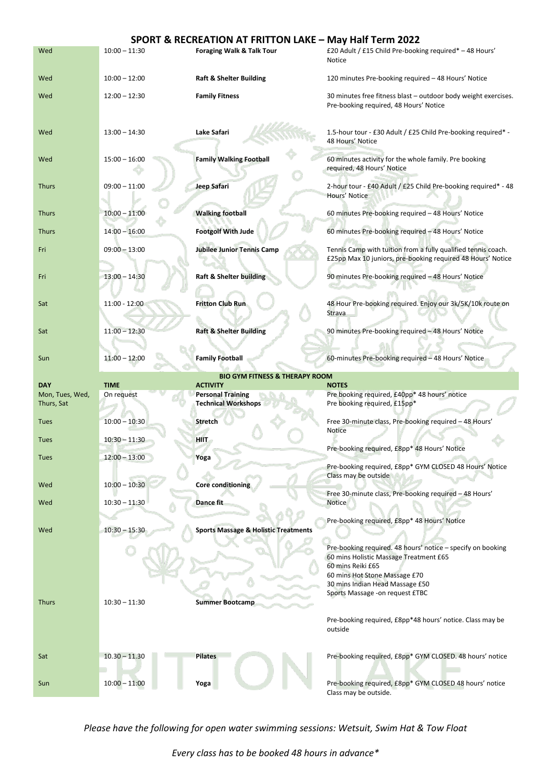|                                           |                 | SPORT & RECREATION AT FRITTON LAKE - May Half Term 2022 |                                                                                                                                                             |  |  |
|-------------------------------------------|-----------------|---------------------------------------------------------|-------------------------------------------------------------------------------------------------------------------------------------------------------------|--|--|
| Wed                                       | $10:00 - 11:30$ | Foraging Walk & Talk Tour                               | £20 Adult / £15 Child Pre-booking required* - 48 Hours'<br><b>Notice</b>                                                                                    |  |  |
| Wed                                       | $10:00 - 12:00$ | <b>Raft &amp; Shelter Building</b>                      | 120 minutes Pre-booking required – 48 Hours' Notice                                                                                                         |  |  |
| Wed                                       | $12:00 - 12:30$ | <b>Family Fitness</b>                                   | 30 minutes free fitness blast – outdoor body weight exercises.<br>Pre-booking required, 48 Hours' Notice                                                    |  |  |
| Wed                                       | $13:00 - 14:30$ | Lake Safari                                             | 1.5-hour tour - £30 Adult / £25 Child Pre-booking required* -<br>48 Hours' Notice                                                                           |  |  |
| Wed                                       | $15:00 - 16:00$ | <b>Family Walking Football</b>                          | 60 minutes activity for the whole family. Pre booking<br>required, 48 Hours' Notice                                                                         |  |  |
| <b>Thurs</b>                              | $09:00 - 11:00$ | Jeep Safari                                             | 2-hour tour - £40 Adult / £25 Child Pre-booking required* - 48<br>Hours' Notice                                                                             |  |  |
| <b>Thurs</b>                              | $10:00 - 11:00$ | <b>Walking football</b>                                 | 60 minutes Pre-booking required - 48 Hours' Notice                                                                                                          |  |  |
| <b>Thurs</b>                              | $14:00 - 16:00$ | <b>Footgolf With Jude</b>                               | 60 minutes Pre-booking required - 48 Hours' Notice                                                                                                          |  |  |
| Fri                                       | $09:00 - 13:00$ | <b>Jubilee Junior Tennis Camp</b>                       | Tennis Camp with tuition from a fully qualified tennis coach.<br>£25pp Max 10 juniors, pre-booking required 48 Hours' Notice                                |  |  |
| Fri                                       | $13:00 - 14:30$ | <b>Raft &amp; Shelter building</b>                      | 90 minutes Pre-booking required - 48 Hours' Notice                                                                                                          |  |  |
| Sat                                       | 11:00 - 12:00   | <b>Fritton Club Run</b>                                 | 48 Hour Pre-booking required. Enjoy our 3k/5K/10k route on<br>Strava                                                                                        |  |  |
| Sat                                       | $11:00 - 12:30$ | <b>Raft &amp; Shelter Building</b>                      | 90 minutes Pre-booking required - 48 Hours' Notice                                                                                                          |  |  |
| Sun                                       | $11:00 - 12:00$ | <b>Family Football</b>                                  | 60-minutes Pre-booking required - 48 Hours' Notice                                                                                                          |  |  |
| <b>BIO GYM FITNESS &amp; THERAPY ROOM</b> |                 |                                                         |                                                                                                                                                             |  |  |
|                                           |                 |                                                         |                                                                                                                                                             |  |  |
| <b>DAY</b>                                | <b>TIME</b>     | <b>ACTIVITY</b>                                         | <b>NOTES</b>                                                                                                                                                |  |  |
| Mon, Tues, Wed,<br>Thurs, Sat             | On request      | <b>Personal Training</b><br><b>Technical Workshops</b>  | Pre booking required, £40pp* 48 hours' notice<br>Pre booking required, £15pp*                                                                               |  |  |
| <b>Tues</b>                               | $10:00 - 10:30$ | <b>Stretch</b>                                          | Free 30-minute class, Pre-booking required - 48 Hours'                                                                                                      |  |  |
| <b>Tues</b>                               | $10:30 - 11:30$ | <b>HIIT</b>                                             | <b>Notice</b>                                                                                                                                               |  |  |
| <b>Tues</b>                               | $12:00 - 13:00$ | Yoga                                                    | Pre-booking required, £8pp* 48 Hours' Notice                                                                                                                |  |  |
| Wed                                       | $10:00 - 10:30$ |                                                         | Pre-booking required, £8pp* GYM CLOSED 48 Hours' Notice<br>Class may be outside                                                                             |  |  |
| Wed                                       | $10:30 - 11:30$ | Core conditioning<br><b>Dance fit</b>                   | Free 30-minute class, Pre-booking required - 48 Hours'<br>Notice                                                                                            |  |  |
|                                           |                 |                                                         |                                                                                                                                                             |  |  |
| Wed                                       | $10:30 - 15:30$ | <b>Sports Massage &amp; Holistic Treatments</b>         | Pre-booking required, £8pp* 48 Hours' Notice                                                                                                                |  |  |
|                                           |                 |                                                         | Pre-booking required. 48 hours' notice - specify on booking<br>60 mins Holistic Massage Treatment £65<br>60 mins Reiki £65<br>60 mins Hot Stone Massage £70 |  |  |
|                                           |                 |                                                         | 30 mins Indian Head Massage £50<br>Sports Massage - on request £TBC                                                                                         |  |  |
| <b>Thurs</b>                              | $10:30 - 11:30$ | <b>Summer Bootcamp</b>                                  | Pre-booking required, £8pp*48 hours' notice. Class may be<br>outside                                                                                        |  |  |
| Sat                                       | $10.30 - 11.30$ | <b>Pilates</b>                                          | Pre-booking required, £8pp* GYM CLOSED. 48 hours' notice                                                                                                    |  |  |

*Please have the following for open water swimming sessions: Wetsuit, Swim Hat & Tow Float*

*Every class has to be booked 48 hours in advance\**